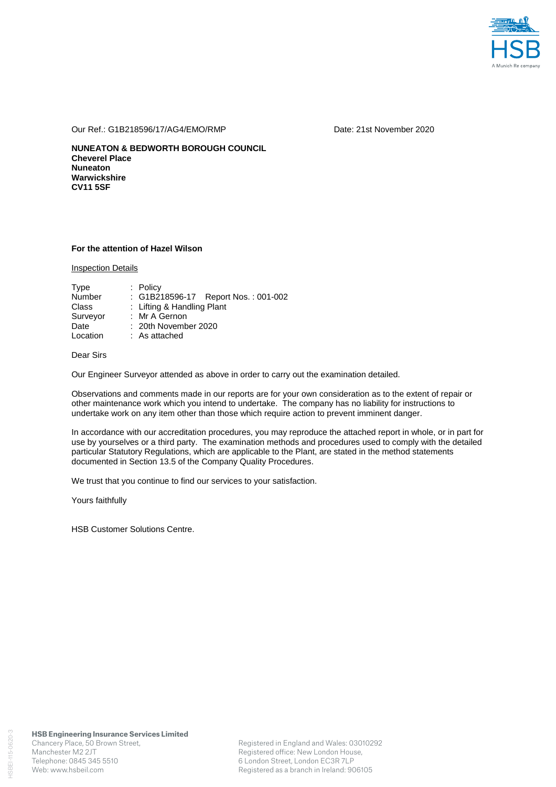

Our Ref.: G1B218596/17/AG4/EMO/RMP Date: 21st November 2020

**NUNEATON & BEDWORTH BOROUGH COUNCIL Cheverel Place Nuneaton Warwickshire CV11 5SF** 

## **For the attention of Hazel Wilson**

Inspection Details

| Type          | $:$ Policy                          |  |  |  |  |  |
|---------------|-------------------------------------|--|--|--|--|--|
| <b>Number</b> | : G1B218596-17 Report Nos.: 001-002 |  |  |  |  |  |
| Class         | : Lifting & Handling Plant          |  |  |  |  |  |
| Surveyor      | : Mr A Gernon                       |  |  |  |  |  |
| Date          | $: 20th$ November 2020              |  |  |  |  |  |
| Location      | $:$ As attached                     |  |  |  |  |  |

# Dear Sirs

Our Engineer Surveyor attended as above in order to carry out the examination detailed.

Observations and comments made in our reports are for your own consideration as to the extent of repair or other maintenance work which you intend to undertake. The company has no liability for instructions to undertake work on any item other than those which require action to prevent imminent danger.

In accordance with our accreditation procedures, you may reproduce the attached report in whole, or in part for use by yourselves or a third party. The examination methods and procedures used to comply with the detailed particular Statutory Regulations, which are applicable to the Plant, are stated in the method statements documented in Section 13.5 of the Company Quality Procedures.

We trust that you continue to find our services to your satisfaction.

Yours faithfully

HSB Customer Solutions Centre.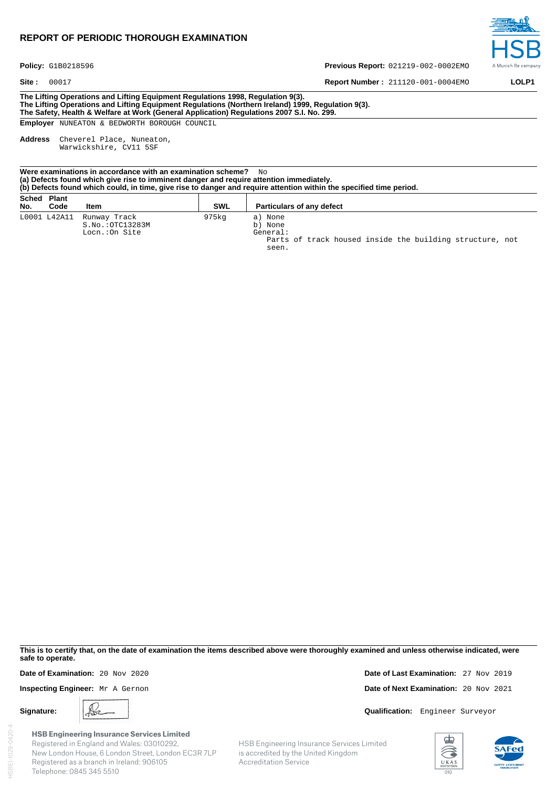# **REPORT OF PERIODIC THOROUGH EXAMINATION**



Policy: G1B0218596

**Site :** 00017 **LOLP1 Report Number :** 211120-001-0004EMO **LOLP1** 

**Previous Report:** 021219-002-0002EMO

**The Lifting Operations and Lifting Equipment Regulations 1998, Regulation 9(3). The Lifting Operations and Lifting Equipment Regulations (Northern Ireland) 1999, Regulation 9(3). The Safety, Health & Welfare at Work (General Application) Regulations 2007 S.I. No. 299.** 

**Employer** NUNEATON & BEDWORTH BOROUGH COUNCIL

**Address** Cheverel Place, Nuneaton, Warwickshire, CV11 5SF

| Were examinations in accordance with an examination scheme? $\Box$ $\Box$<br>(a) Defects found which give rise to imminent danger and require attention immediately.<br>(b) Defects found which could, in time, give rise to danger and require attention within the specified time period. |              |                                                         |            |                                                                                                     |  |  |  |  |  |
|---------------------------------------------------------------------------------------------------------------------------------------------------------------------------------------------------------------------------------------------------------------------------------------------|--------------|---------------------------------------------------------|------------|-----------------------------------------------------------------------------------------------------|--|--|--|--|--|
| Sched Plant<br>No.                                                                                                                                                                                                                                                                          | Code         | ltem                                                    | <b>SWL</b> | <b>Particulars of any defect</b>                                                                    |  |  |  |  |  |
|                                                                                                                                                                                                                                                                                             | L0001 L42A11 | Runway Track<br>$S.NO.$ : $OTC13283M$<br>Locn.: On Site | 975kg      | a) None<br>b) None<br>General:<br>Parts of track housed inside the building structure, not<br>seen. |  |  |  |  |  |

**This is to certify that, on the date of examination the items described above were thoroughly examined and unless otherwise indicated, were safe to operate.** 

Accreditation Service

HSB Engineering Insurance Services Limited is accredited by the United Kingdom

HSBEI-1029-0420-4 ISBEI-1029-0420-4

**HSB Engineering Insurance Services Limited** Registered in England and Wales: 03010292, New London House, 6 London Street, London EC3R 7LP Registered as a branch in Ireland: 906105 Telephone: 0845 345 5510

**Date of Examination:** 20 Nov 2020 **Date of Last Examination:** 27 Nov 2019 **Inspecting Engineer:** Mr. A Gernon **Date of Next Examination:** 20 Nov 2021

**Signature: A**